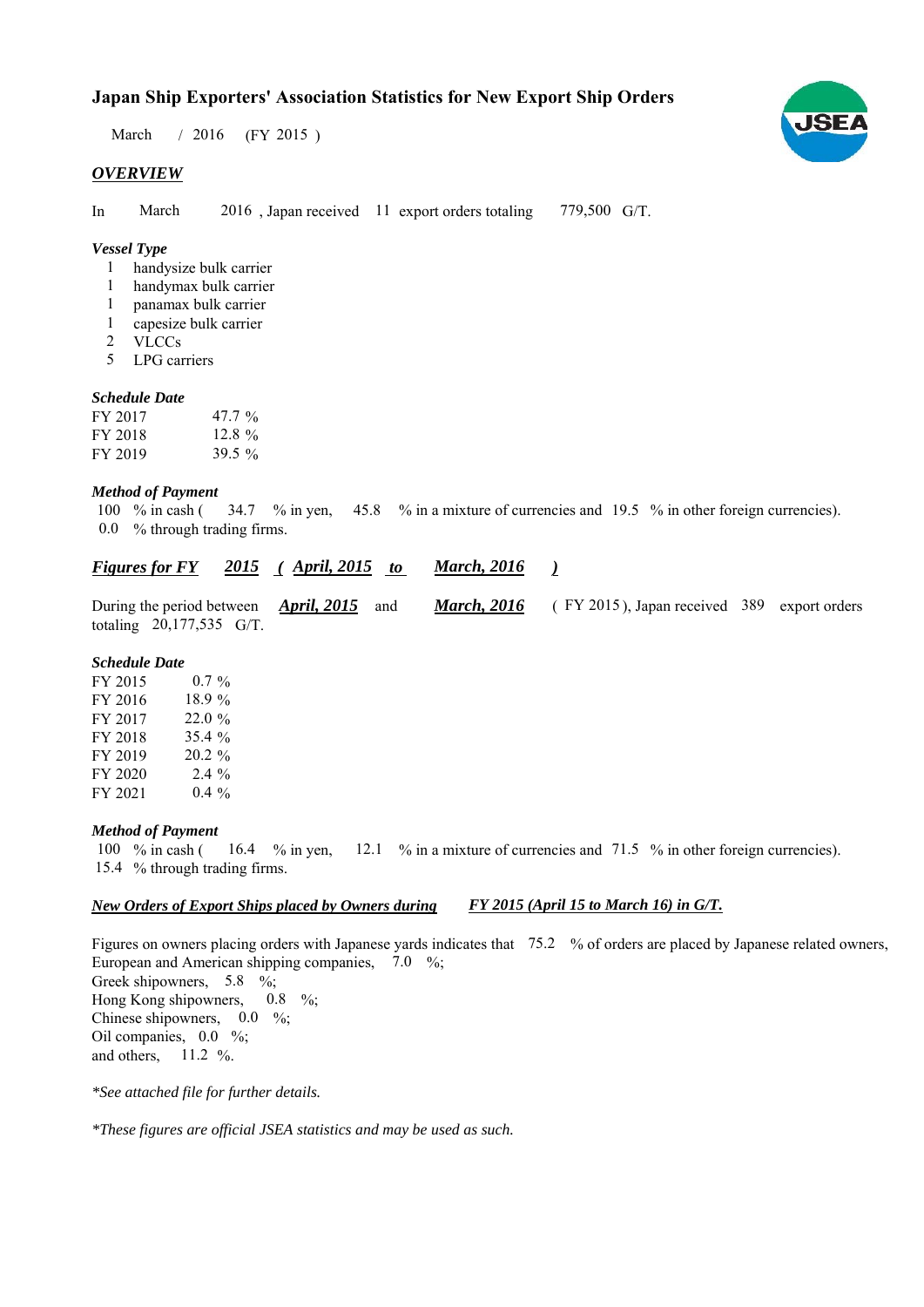# **Japan Ship Exporters' Association Statistics for New Export Ship Orders**

March / 2016 (FY 2015)

#### *OVERVIEW*

In March 2016, Japan received 11 export orders totaling 779,500 G/T. March

### *Vessel Type*

- handysize bulk carrier 1
- handymax bulk carrier 1
- panamax bulk carrier 1
- capesize bulk carrier 1
- VLCCs 2
- LPG carriers 5

#### *Schedule Date*

| FY 2017 | 47.7 $\%$ |
|---------|-----------|
| FY 2018 | 12.8 $\%$ |
| FY 2019 | 39.5 $\%$ |

#### *Method of Payment*

% in cash ( $\frac{34.7}{8}$  in yen,  $\frac{45.8}{8}$  % in a mixture of currencies and 19.5 % in other foreign currencies). % through trading firms. 0.0 100  $%$  in cash (

|                            | Figures for FY 2015 (April, 2015 to March, 2016 |                                                                |  |
|----------------------------|-------------------------------------------------|----------------------------------------------------------------|--|
| totaling $20,177,535$ G/T. | During the period between April, $2015$ and     | <b>March, 2016</b> (FY 2015), Japan received 389 export orders |  |

#### *Schedule Date*

| FY 2015 | $0.7 \%$  |
|---------|-----------|
| FY 2016 | 18.9 %    |
| FY 2017 | 22.0%     |
| FY 2018 | 35.4 %    |
| FY 2019 | $20.2 \%$ |
| FY 2020 | $2.4\%$   |
| FY 2021 | $0.4\%$   |

#### *Method of Payment*

% in cash ( $\frac{16.4}{8}$  in yen,  $\frac{12.1}{8}$  % in a mixture of currencies and 71.5 % in other foreign currencies). 15.4 % through trading firms. 100  $\%$  in cash (

#### *New Orders of Export Ships placed by Owners during FY 2015 (April 15 to March 16) in G/T.*

Figures on owners placing orders with Japanese yards indicates that 75.2 % of orders are placed by Japanese related owners, European and American shipping companies,  $7.0\%$ ; Greek shipowners,  $5.8 \frac{6}{6}$ ; Hong Kong shipowners,  $0.8\%$ ; Chinese shipowners,  $0.0\%$ ; Oil companies,  $0.0\%$ ; and others,  $11.2 \%$ .

*\*See attached file for further details.*

*\*These figures are official JSEA statistics and may be used as such.*

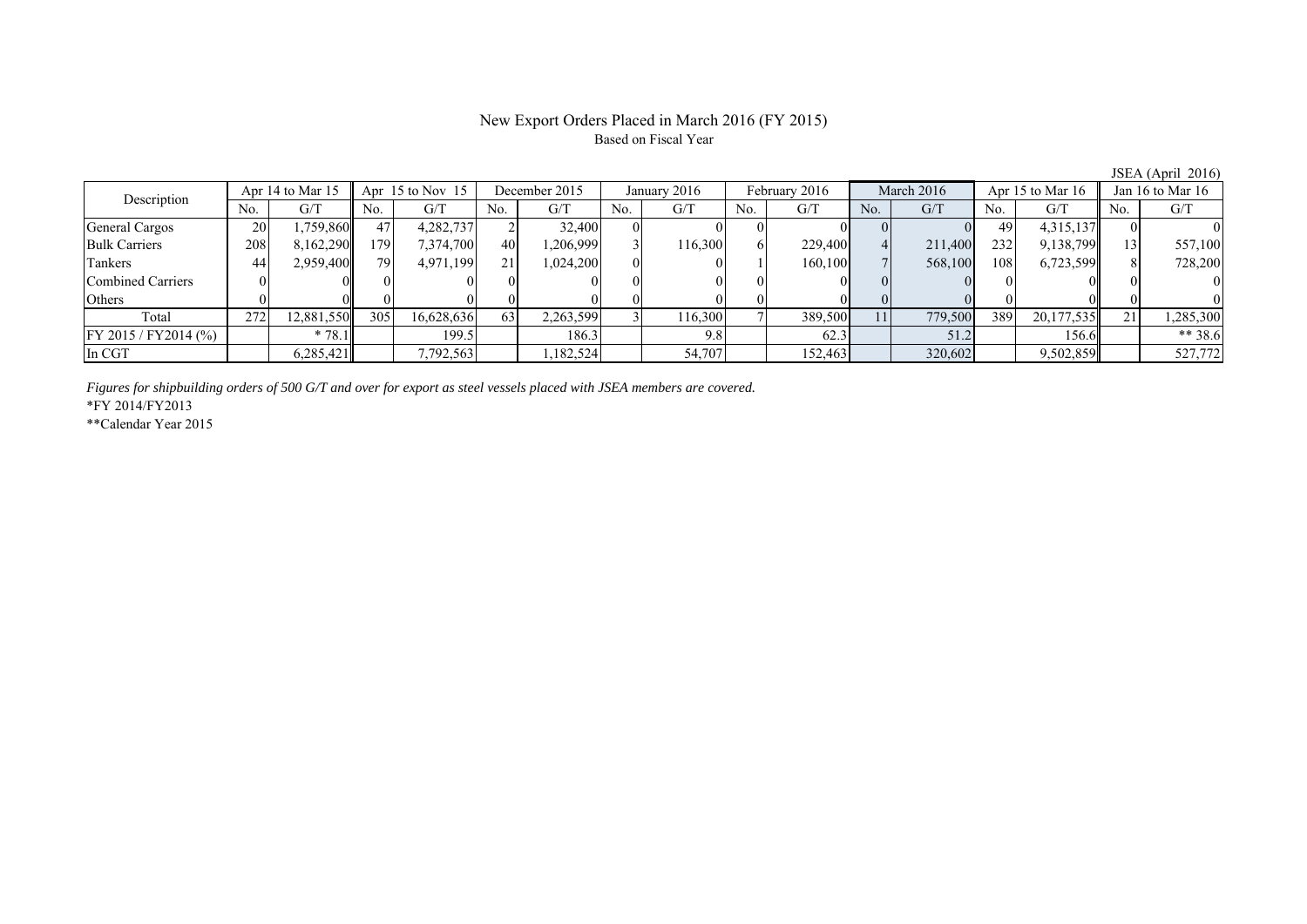## New Export Orders Placed in March 2016 (FY 2015) Based on Fiscal Year

|                                 |     |                      |      |               |     |              |     |               |     |            |     |                    |     |                    |     | $\sqrt{2}$ |
|---------------------------------|-----|----------------------|------|---------------|-----|--------------|-----|---------------|-----|------------|-----|--------------------|-----|--------------------|-----|------------|
| Apr 14 to Mar 15<br>Description |     | Apr $15$ to Nov $15$ |      | December 2015 |     | January 2016 |     | February 2016 |     | March 2016 |     | Apr 15 to Mar $16$ |     | Jan 16 to Mar $16$ |     |            |
|                                 | No. | G/T                  | No.  | G/T           | No. | G/T          | No. | G/T           | No. | G/T        | No. | G/T                | No. | G/T                | No. | G/T        |
| General Cargos                  | 20  | .759,860             | 47   | 4,282,737     |     | 32,400       |     |               |     |            |     |                    | 49  | 4,315,137          |     |            |
| <b>Bulk Carriers</b>            | 208 | 8,162,290            | 1791 | 7,374,700     | 40  | .206,999     |     | 116,300       |     | 229,400    |     | 211,400            | 232 | 9,138,799          |     | 557,100    |
| Tankers                         | 44  | 2,959,400            | 79   | 4,971,199     | 21  | 1,024,200    |     |               |     | 160,100    |     | 568,100            | 108 | 6,723,599          |     | 728,200    |
| Combined Carriers               |     |                      |      |               |     |              |     |               |     |            |     |                    |     |                    |     |            |
| Others                          |     |                      |      |               |     |              |     |               |     |            |     |                    |     |                    |     |            |
| Total                           | 272 | 12,881,550           | 305  | 16,628,636    | 63  | 2,263,599    |     | 116,300       |     | 389,500    | 11  | 779,500            | 389 | 20,177,535         | 21  | ,285,300   |
| FY 2015 / FY2014 (%)            |     | $*78.1$              |      | 199.5         |     | 186.3        |     | 9.8           |     | 62.3       |     | 51.2               |     | 156.6              |     | $** 38.6$  |
| In CGT                          |     | 6,285,421            |      | 7,792,563     |     | ,182,524     |     | 54,707        |     | 152,463    |     | 320,602            |     | 9,502,859          |     | 527,772    |

*Figures for shipbuilding orders of 500 G/T and over for export as steel vessels placed with JSEA members are covered.*

\*FY 2014/FY2013

\*\*Calendar Year 2015

JSEA (April 2016)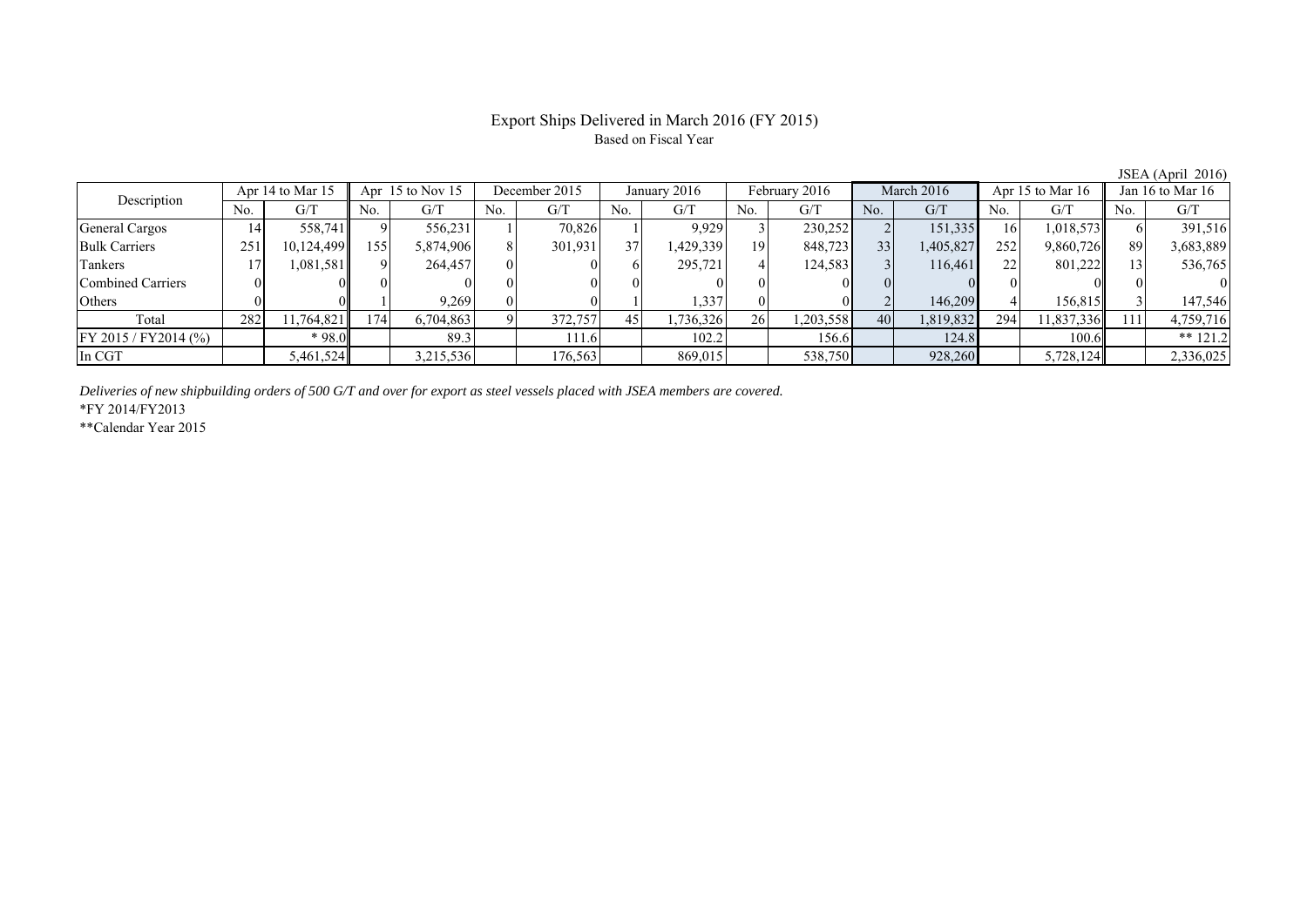# Export Ships Delivered in March 2016 (FY 2015) Based on Fiscal Year

| Apr 14 to Mar 15<br>Description |     |            | Apr $15$ to Nov $15$ |           | December 2015 |         | January 2016    |          | February 2016 |           | March 2016      |           | Apr 15 to Mar $16$ |            | Jan 16 to Mar 16 |            |
|---------------------------------|-----|------------|----------------------|-----------|---------------|---------|-----------------|----------|---------------|-----------|-----------------|-----------|--------------------|------------|------------------|------------|
|                                 | No. | G/T        | No.                  | G/T       | No.           | G/T     | No.             | G/T      | No.           | G/T       | N <sub>0</sub>  | G/T       | No.                | G/T        | No.              | G/T        |
| <b>General Cargos</b>           | 14  | 558,741    |                      | 556.231   |               | 70.826  |                 | 9,929    |               | 230,252   |                 | 151,335   | 161                | 1,018,573  |                  | 391,516    |
| <b>Bulk Carriers</b>            | 251 | 10,124,499 | 155                  | 5,874,906 |               | 301,931 | 37 <sup>1</sup> | .429,339 | 19            | 848,723   | 33 <sub>1</sub> | 1,405,827 | 252                | 9,860,726  | 89               | 3,683,889  |
| Tankers                         |     | 1,081,581  |                      | 264,457   |               |         |                 | 295,721  |               | 124,583   |                 | 116,461   | 22                 | 801,222    |                  | 536,765    |
| Combined Carriers               |     |            |                      |           |               |         |                 |          |               |           |                 |           | $\Omega$           |            |                  |            |
| Others                          |     |            |                      | 9.269     |               |         |                 | 1,337    |               |           |                 | 146,209   |                    | 156,815    |                  | 147,546    |
| Total                           | 282 | 11,764,821 | $174_1$              | 6,704,863 |               | 372,757 | 45              | .736,326 | 26            | 1,203,558 | 40              | 1,819,832 | 294                | 11,837,336 | 111              | 4,759,716  |
| FY 2015 / FY 2014 (%)           |     | * 98.0     |                      | 89.3      |               | 111.6   |                 | 102.2    |               | 156.6     |                 | 124.8     |                    | 100.6      |                  | $** 121.2$ |
| In CGT                          |     | 5,461,524  |                      | 3,215,536 |               | 176,563 |                 | 869,015  |               | 538,750   |                 | 928,260   |                    | 5,728,124  |                  | 2,336,025  |

*Deliveries of new shipbuilding orders of 500 G/T and over for export as steel vessels placed with JSEA members are covered.*

\*FY 2014/FY2013

\*\*Calendar Year 2015

JSEA (April 2016)